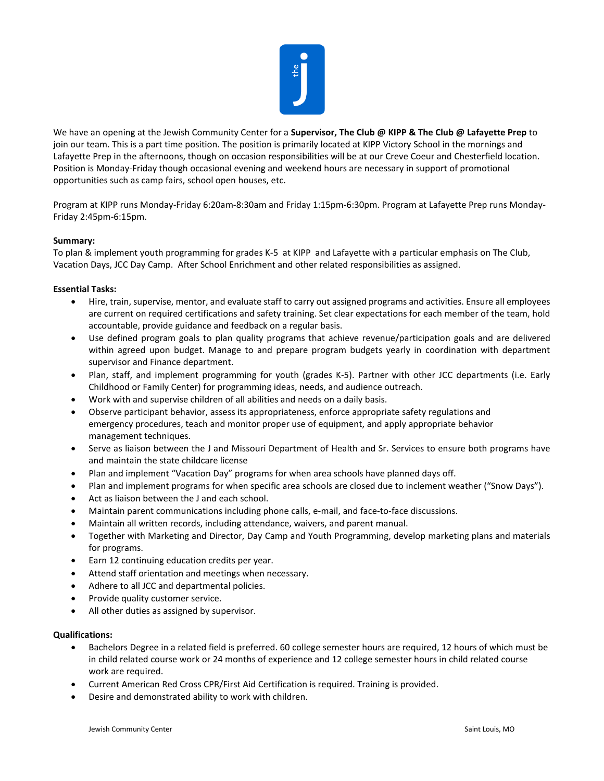

We have an opening at the Jewish Community Center for a **Supervisor, The Club @ KIPP & The Club @ Lafayette Prep** to join our team. This is a part time position. The position is primarily located at KIPP Victory School in the mornings and Lafayette Prep in the afternoons, though on occasion responsibilities will be at our Creve Coeur and Chesterfield location. Position is Monday-Friday though occasional evening and weekend hours are necessary in support of promotional opportunities such as camp fairs, school open houses, etc.

Program at KIPP runs Monday-Friday 6:20am-8:30am and Friday 1:15pm-6:30pm. Program at Lafayette Prep runs Monday-Friday 2:45pm-6:15pm.

## **Summary:**

To plan & implement youth programming for grades K-5 at KIPP and Lafayette with a particular emphasis on The Club, Vacation Days, JCC Day Camp. After School Enrichment and other related responsibilities as assigned.

## **Essential Tasks:**

- Hire, train, supervise, mentor, and evaluate staff to carry out assigned programs and activities. Ensure all employees are current on required certifications and safety training. Set clear expectations for each member of the team, hold accountable, provide guidance and feedback on a regular basis.
- Use defined program goals to plan quality programs that achieve revenue/participation goals and are delivered within agreed upon budget. Manage to and prepare program budgets yearly in coordination with department supervisor and Finance department.
- Plan, staff, and implement programming for youth (grades K-5). Partner with other JCC departments (i.e. Early Childhood or Family Center) for programming ideas, needs, and audience outreach.
- Work with and supervise children of all abilities and needs on a daily basis.
- Observe participant behavior, assess its appropriateness, enforce appropriate safety regulations and emergency procedures, teach and monitor proper use of equipment, and apply appropriate behavior management techniques.
- Serve as liaison between the J and Missouri Department of Health and Sr. Services to ensure both programs have and maintain the state childcare license
- Plan and implement "Vacation Day" programs for when area schools have planned days off.
- Plan and implement programs for when specific area schools are closed due to inclement weather ("Snow Days").
- Act as liaison between the J and each school.
- Maintain parent communications including phone calls, e-mail, and face-to-face discussions.
- Maintain all written records, including attendance, waivers, and parent manual.
- Together with Marketing and Director, Day Camp and Youth Programming, develop marketing plans and materials for programs.
- Earn 12 continuing education credits per year.
- Attend staff orientation and meetings when necessary.
- Adhere to all JCC and departmental policies.
- Provide quality customer service.
- All other duties as assigned by supervisor.

## **Qualifications:**

- Bachelors Degree in a related field is preferred. 60 college semester hours are required, 12 hours of which must be in child related course work or 24 months of experience and 12 college semester hours in child related course work are required.
- Current American Red Cross CPR/First Aid Certification is required. Training is provided.
- Desire and demonstrated ability to work with children.